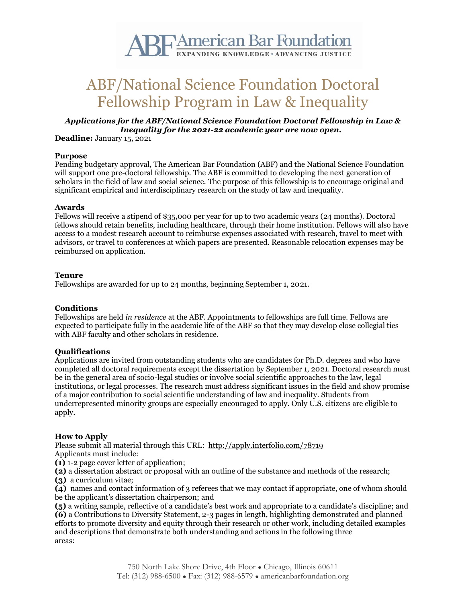

# ABF/National Science Foundation Doctoral Fellowship Program in Law & Inequality

### *Applications for the ABF/National Science Foundation Doctoral Fellowship in Law & Inequality for the 2021-22 academic year are now open.*

**Deadline:** January 15, 2021

#### **Purpose**

Pending budgetary approval, The American Bar Foundation (ABF) and the National Science Foundation will support one pre-doctoral fellowship. The ABF is committed to developing the next generation of scholars in the field of law and social science. The purpose of this fellowship is to encourage original and significant empirical and interdisciplinary research on the study of law and inequality.

## **Awards**

Fellows will receive a stipend of \$35,000 per year for up to two academic years (24 months). Doctoral fellows should retain benefits, including healthcare, through their home institution. Fellows will also have access to a modest research account to reimburse expenses associated with research, travel to meet with advisors, or travel to conferences at which papers are presented. Reasonable relocation expenses may be reimbursed on application.

#### **Tenure**

Fellowships are awarded for up to 24 months, beginning September 1, 2021.

#### **Conditions**

Fellowships are held *in residence* at the ABF. Appointments to fellowships are full time. Fellows are expected to participate fully in the academic life of the ABF so that they may develop close collegial ties with ABF faculty and other scholars in residence.

#### **Qualifications**

Applications are invited from outstanding students who are candidates for Ph.D. degrees and who have completed all doctoral requirements except the dissertation by September 1, 2021. Doctoral research must be in the general area of socio-legal studies or involve social scientific approaches to the law, legal institutions, or legal processes. The research must address significant issues in the field and show promise of a major contribution to social scientific understanding of law and inequality. Students from underrepresented minority groups are especially encouraged to apply. Only U.S. citizens are eligible to apply.

#### **How to Apply**

Please submit all material through this URL: <http://apply.interfolio.com/78719> Applicants must include:

**(1)** 1-2 page cover letter of application;

**(2)** a dissertation abstract or proposal with an outline of the substance and methods of the research;

**(3)** a curriculum vitae;

**(4)** names and contact information of 3 referees that we may contact if appropriate, one of whom should be the applicant's dissertation chairperson; and

**(5)** a writing sample, reflective of a candidate's best work and appropriate to a candidate's discipline; and **(6)** a Contributions to Diversity Statement, 2-3 pages in length, highlighting demonstrated and planned efforts to promote diversity and equity through their research or other work, including detailed examples and descriptions that demonstrate both understanding and actions in the following three areas: